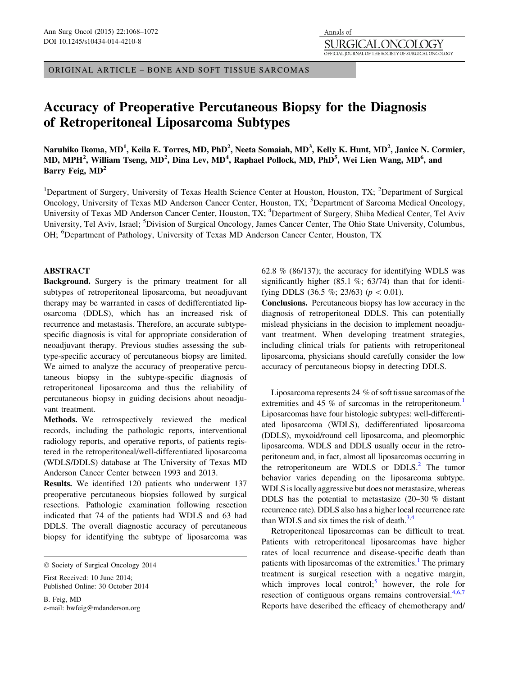ORIGINAL ARTICLE – BONE AND SOFT TISSUE SARCOMAS

# Accuracy of Preoperative Percutaneous Biopsy for the Diagnosis of Retroperitoneal Liposarcoma Subtypes

Naruhiko Ikoma, MD<sup>1</sup>, Keila E. Torres, MD, PhD<sup>2</sup>, Neeta Somaiah, MD<sup>3</sup>, Kelly K. Hunt, MD<sup>2</sup>, Janice N. Cormier, MD, MPH<sup>2</sup>, William Tseng, MD<sup>2</sup>, Dina Lev, MD<sup>4</sup>, Raphael Pollock, MD, PhD<sup>5</sup>, Wei Lien Wang, MD<sup>6</sup>, and Barry Feig, MD<sup>2</sup>

<sup>1</sup>Department of Surgery, University of Texas Health Science Center at Houston, Houston, TX; <sup>2</sup>Department of Surgical Oncology, University of Texas MD Anderson Cancer Center, Houston, TX; <sup>3</sup>Department of Sarcoma Medical Oncology, University of Texas MD Anderson Cancer Center, Houston, TX; <sup>4</sup>Department of Surgery, Shiba Medical Center, Tel Aviv University, Tel Aviv, Israel; <sup>5</sup>Division of Surgical Oncology, James Cancer Center, The Ohio State University, Columbus, OH; <sup>6</sup>Department of Pathology, University of Texas MD Anderson Cancer Center, Houston, TX

# ABSTRACT

Background. Surgery is the primary treatment for all subtypes of retroperitoneal liposarcoma, but neoadjuvant therapy may be warranted in cases of dedifferentiated liposarcoma (DDLS), which has an increased risk of recurrence and metastasis. Therefore, an accurate subtypespecific diagnosis is vital for appropriate consideration of neoadjuvant therapy. Previous studies assessing the subtype-specific accuracy of percutaneous biopsy are limited. We aimed to analyze the accuracy of preoperative percutaneous biopsy in the subtype-specific diagnosis of retroperitoneal liposarcoma and thus the reliability of percutaneous biopsy in guiding decisions about neoadjuvant treatment.

Methods. We retrospectively reviewed the medical records, including the pathologic reports, interventional radiology reports, and operative reports, of patients registered in the retroperitoneal/well-differentiated liposarcoma (WDLS/DDLS) database at The University of Texas MD Anderson Cancer Center between 1993 and 2013.

Results. We identified 120 patients who underwent 137 preoperative percutaneous biopsies followed by surgical resections. Pathologic examination following resection indicated that 74 of the patients had WDLS and 63 had DDLS. The overall diagnostic accuracy of percutaneous biopsy for identifying the subtype of liposarcoma was

First Received: 10 June 2014; Published Online: 30 October 2014

B. Feig, MD e-mail: bwfeig@mdanderson.org 62.8 % (86/137); the accuracy for identifying WDLS was significantly higher  $(85.1 \%; 63/74)$  than that for identifying DDLS (36.5 %; 23/63) ( $p < 0.01$ ).

Conclusions. Percutaneous biopsy has low accuracy in the diagnosis of retroperitoneal DDLS. This can potentially mislead physicians in the decision to implement neoadjuvant treatment. When developing treatment strategies, including clinical trials for patients with retroperitoneal liposarcoma, physicians should carefully consider the low accuracy of percutaneous biopsy in detecting DDLS.

Liposarcoma represents 24 % of soft tissue sarcomas of the extremities and 45 % of sarcomas in the retroperitoneum.<sup>[1](#page-4-0)</sup> Liposarcomas have four histologic subtypes: well-differentiated liposarcoma (WDLS), dedifferentiated liposarcoma (DDLS), myxoid/round cell liposarcoma, and pleomorphic liposarcoma. WDLS and DDLS usually occur in the retroperitoneum and, in fact, almost all liposarcomas occurring in the retroperitoneum are WDLS or  $DDLS<sup>2</sup>$ . The tumor behavior varies depending on the liposarcoma subtype. WDLS is locally aggressive but does not metastasize, whereas DDLS has the potential to metastasize (20–30 % distant recurrence rate). DDLS also has a higher local recurrence rate than WDLS and six times the risk of death. $3,4$ 

Retroperitoneal liposarcomas can be difficult to treat. Patients with retroperitoneal liposarcomas have higher rates of local recurrence and disease-specific death than patients with liposarcomas of the extremities.<sup>[1](#page-4-0)</sup> The primary treatment is surgical resection with a negative margin, which improves local control; however, the role for resection of contiguous organs remains controversial. $4,6,7$  $4,6,7$  $4,6,7$ Reports have described the efficacy of chemotherapy and/

 $©$  Society of Surgical Oncology 2014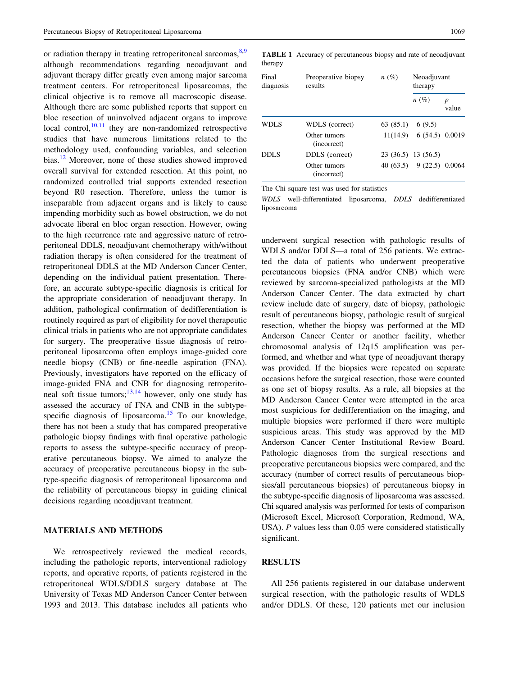<span id="page-1-0"></span>or radiation therapy in treating retroperitoneal sarcomas, [8,9](#page-4-0) although recommendations regarding neoadjuvant and adjuvant therapy differ greatly even among major sarcoma treatment centers. For retroperitoneal liposarcomas, the clinical objective is to remove all macroscopic disease. Although there are some published reports that support en bloc resection of uninvolved adjacent organs to improve local control,  $10,11$  they are non-randomized retrospective studies that have numerous limitations related to the methodology used, confounding variables, and selection bias.[12](#page-4-0) Moreover, none of these studies showed improved overall survival for extended resection. At this point, no randomized controlled trial supports extended resection beyond R0 resection. Therefore, unless the tumor is inseparable from adjacent organs and is likely to cause impending morbidity such as bowel obstruction, we do not advocate liberal en bloc organ resection. However, owing to the high recurrence rate and aggressive nature of retroperitoneal DDLS, neoadjuvant chemotherapy with/without radiation therapy is often considered for the treatment of retroperitoneal DDLS at the MD Anderson Cancer Center, depending on the individual patient presentation. Therefore, an accurate subtype-specific diagnosis is critical for the appropriate consideration of neoadjuvant therapy. In addition, pathological confirmation of dedifferentiation is routinely required as part of eligibility for novel therapeutic clinical trials in patients who are not appropriate candidates for surgery. The preoperative tissue diagnosis of retroperitoneal liposarcoma often employs image-guided core needle biopsy (CNB) or fine-needle aspiration (FNA). Previously, investigators have reported on the efficacy of image-guided FNA and CNB for diagnosing retroperitoneal soft tissue tumors; $13,14$  however, only one study has assessed the accuracy of FNA and CNB in the subtype-specific diagnosis of liposarcoma.<sup>[15](#page-4-0)</sup> To our knowledge, there has not been a study that has compared preoperative pathologic biopsy findings with final operative pathologic reports to assess the subtype-specific accuracy of preoperative percutaneous biopsy. We aimed to analyze the accuracy of preoperative percutaneous biopsy in the subtype-specific diagnosis of retroperitoneal liposarcoma and the reliability of percutaneous biopsy in guiding clinical decisions regarding neoadjuvant treatment.

### MATERIALS AND METHODS

We retrospectively reviewed the medical records, including the pathologic reports, interventional radiology reports, and operative reports, of patients registered in the retroperitoneal WDLS/DDLS surgery database at The University of Texas MD Anderson Cancer Center between 1993 and 2013. This database includes all patients who

TABLE 1 Accuracy of percutaneous biopsy and rate of neoadjuvant therapy

| Final<br>diagnosis | Preoperative biopsy<br>results | $n(\%)$   | Neoadjuvant<br>therapy |            |
|--------------------|--------------------------------|-----------|------------------------|------------|
|                    |                                |           | $n(\%)$                | p<br>value |
| WDLS               | WDLS (correct)                 | 63 (85.1) | 6(9.5)                 |            |
|                    | Other tumors<br>(incorrect)    | 11(14.9)  | 6(54.5)0.0019          |            |
| DDL S              | DDLS (correct)                 |           | 23 (36.5) 13 (56.5)    |            |
|                    | Other tumors<br>(incorrect)    | 40 (63.5) | 9(22.5)0.0064          |            |

The Chi square test was used for statistics

WDLS well-differentiated liposarcoma, DDLS dedifferentiated liposarcoma

underwent surgical resection with pathologic results of WDLS and/or DDLS—a total of 256 patients. We extracted the data of patients who underwent preoperative percutaneous biopsies (FNA and/or CNB) which were reviewed by sarcoma-specialized pathologists at the MD Anderson Cancer Center. The data extracted by chart review include date of surgery, date of biopsy, pathologic result of percutaneous biopsy, pathologic result of surgical resection, whether the biopsy was performed at the MD Anderson Cancer Center or another facility, whether chromosomal analysis of 12q15 amplification was performed, and whether and what type of neoadjuvant therapy was provided. If the biopsies were repeated on separate occasions before the surgical resection, those were counted as one set of biopsy results. As a rule, all biopsies at the MD Anderson Cancer Center were attempted in the area most suspicious for dedifferentiation on the imaging, and multiple biopsies were performed if there were multiple suspicious areas. This study was approved by the MD Anderson Cancer Center Institutional Review Board. Pathologic diagnoses from the surgical resections and preoperative percutaneous biopsies were compared, and the accuracy (number of correct results of percutaneous biopsies/all percutaneous biopsies) of percutaneous biopsy in the subtype-specific diagnosis of liposarcoma was assessed. Chi squared analysis was performed for tests of comparison (Microsoft Excel, Microsoft Corporation, Redmond, WA, USA). P values less than 0.05 were considered statistically significant.

#### RESULTS

All 256 patients registered in our database underwent surgical resection, with the pathologic results of WDLS and/or DDLS. Of these, 120 patients met our inclusion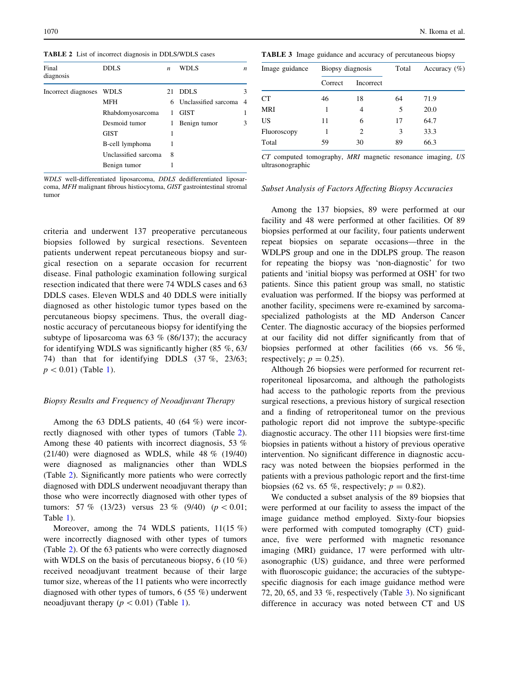TABLE 2 List of incorrect diagnosis in DDLS/WDLS cases

| Final<br>diagnosis       | <b>DDLS</b>          | $\boldsymbol{n}$ | WDLS                   | $\boldsymbol{n}$ |
|--------------------------|----------------------|------------------|------------------------|------------------|
| Incorrect diagnoses WDLS |                      | 21               | DDLS                   | 3                |
|                          | <b>MFH</b>           |                  | 6 Unclassified sarcoma | 4                |
|                          | Rhabdomyosarcoma     |                  | <b>GIST</b>            |                  |
|                          | Desmoid tumor        | 1                | Benign tumor           | 3                |
|                          | <b>GIST</b>          | 1                |                        |                  |
|                          | B-cell lymphoma      | 1                |                        |                  |
|                          | Unclassified sarcoma | 8                |                        |                  |
|                          | Benign tumor         |                  |                        |                  |

WDLS well-differentiated liposarcoma, DDLS dedifferentiated liposarcoma, MFH malignant fibrous histiocytoma, GIST gastrointestinal stromal tumor

criteria and underwent 137 preoperative percutaneous biopsies followed by surgical resections. Seventeen patients underwent repeat percutaneous biopsy and surgical resection on a separate occasion for recurrent disease. Final pathologic examination following surgical resection indicated that there were 74 WDLS cases and 63 DDLS cases. Eleven WDLS and 40 DDLS were initially diagnosed as other histologic tumor types based on the percutaneous biopsy specimens. Thus, the overall diagnostic accuracy of percutaneous biopsy for identifying the subtype of liposarcoma was 63  $\%$  (86/137); the accuracy for identifying WDLS was significantly higher (85 %, 63/ 74) than that for identifying DDLS (37 %, 23/63;  $p < 0.01$  $p < 0.01$ ) (Table 1).

# Biopsy Results and Frequency of Neoadjuvant Therapy

Among the 63 DDLS patients, 40 (64 %) were incorrectly diagnosed with other types of tumors (Table 2). Among these 40 patients with incorrect diagnosis, 53 %  $(21/40)$  were diagnosed as WDLS, while 48 % (19/40) were diagnosed as malignancies other than WDLS (Table 2). Significantly more patients who were correctly diagnosed with DDLS underwent neoadjuvant therapy than those who were incorrectly diagnosed with other types of tumors: 57 % (13/23) versus 23 % (9/40) ( $p < 0.01$ ; Table [1](#page-1-0)).

Moreover, among the 74 WDLS patients, 11(15 %) were incorrectly diagnosed with other types of tumors (Table 2). Of the 63 patients who were correctly diagnosed with WDLS on the basis of percutaneous biopsy, 6 (10  $\%$ ) received neoadjuvant treatment because of their large tumor size, whereas of the 11 patients who were incorrectly diagnosed with other types of tumors, 6 (55 %) underwent neoadjuvant therapy  $(p < 0.01)$  $(p < 0.01)$  (Table 1).

TABLE 3 Image guidance and accuracy of percutaneous biopsy

| Image guidance | Biopsy diagnosis |                  | Total | Accuracy $(\% )$ |  |
|----------------|------------------|------------------|-------|------------------|--|
|                | Correct          | <b>Incorrect</b> |       |                  |  |
| CT             | 46               | 18               | 64    | 71.9             |  |
| <b>MRI</b>     | 1                | 4                | 5     | 20.0             |  |
| US             | 11               | 6                | 17    | 64.7             |  |
| Fluoroscopy    | 1                | $\overline{c}$   | 3     | 33.3             |  |
| Total          | 59               | 30               | 89    | 66.3             |  |

CT computed tomography, MRI magnetic resonance imaging, US ultrasonographic

#### Subset Analysis of Factors Affecting Biopsy Accuracies

Among the 137 biopsies, 89 were performed at our facility and 48 were performed at other facilities. Of 89 biopsies performed at our facility, four patients underwent repeat biopsies on separate occasions—three in the WDLPS group and one in the DDLPS group. The reason for repeating the biopsy was 'non-diagnostic' for two patients and 'initial biopsy was performed at OSH' for two patients. Since this patient group was small, no statistic evaluation was performed. If the biopsy was performed at another facility, specimens were re-examined by sarcomaspecialized pathologists at the MD Anderson Cancer Center. The diagnostic accuracy of the biopsies performed at our facility did not differ significantly from that of biopsies performed at other facilities (66 vs. 56 %, respectively;  $p = 0.25$ ).

Although 26 biopsies were performed for recurrent retroperitoneal liposarcoma, and although the pathologists had access to the pathologic reports from the previous surgical resections, a previous history of surgical resection and a finding of retroperitoneal tumor on the previous pathologic report did not improve the subtype-specific diagnostic accuracy. The other 111 biopsies were first-time biopsies in patients without a history of previous operative intervention. No significant difference in diagnostic accuracy was noted between the biopsies performed in the patients with a previous pathologic report and the first-time biopsies (62 vs. 65 %, respectively;  $p = 0.82$ ).

We conducted a subset analysis of the 89 biopsies that were performed at our facility to assess the impact of the image guidance method employed. Sixty-four biopsies were performed with computed tomography (CT) guidance, five were performed with magnetic resonance imaging (MRI) guidance, 17 were performed with ultrasonographic (US) guidance, and three were performed with fluoroscopic guidance; the accuracies of the subtypespecific diagnosis for each image guidance method were 72, 20, 65, and 33  $\%$ , respectively (Table 3). No significant difference in accuracy was noted between CT and US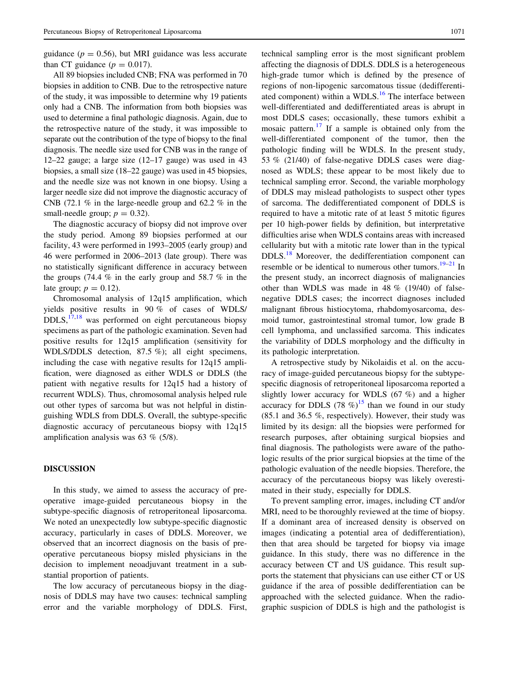guidance ( $p = 0.56$ ), but MRI guidance was less accurate than CT guidance  $(p = 0.017)$ .

All 89 biopsies included CNB; FNA was performed in 70 biopsies in addition to CNB. Due to the retrospective nature of the study, it was impossible to determine why 19 patients only had a CNB. The information from both biopsies was used to determine a final pathologic diagnosis. Again, due to the retrospective nature of the study, it was impossible to separate out the contribution of the type of biopsy to the final diagnosis. The needle size used for CNB was in the range of 12–22 gauge; a large size (12–17 gauge) was used in 43 biopsies, a small size (18–22 gauge) was used in 45 biopsies, and the needle size was not known in one biopsy. Using a larger needle size did not improve the diagnostic accuracy of CNB (72.1  $\%$  in the large-needle group and 62.2  $\%$  in the small-needle group;  $p = 0.32$ ).

The diagnostic accuracy of biopsy did not improve over the study period. Among 89 biopsies performed at our facility, 43 were performed in 1993–2005 (early group) and 46 were performed in 2006–2013 (late group). There was no statistically significant difference in accuracy between the groups (74.4 % in the early group and 58.7 % in the late group;  $p = 0.12$ ).

Chromosomal analysis of 12q15 amplification, which yields positive results in 90 % of cases of WDLS/  $DDLS$ ,  $^{17,18}$  $^{17,18}$  $^{17,18}$  was performed on eight percutaneous biopsy specimens as part of the pathologic examination. Seven had positive results for 12q15 amplification (sensitivity for WDLS/DDLS detection, 87.5 %); all eight specimens, including the case with negative results for 12q15 amplification, were diagnosed as either WDLS or DDLS (the patient with negative results for 12q15 had a history of recurrent WDLS). Thus, chromosomal analysis helped rule out other types of sarcoma but was not helpful in distinguishing WDLS from DDLS. Overall, the subtype-specific diagnostic accuracy of percutaneous biopsy with 12q15 amplification analysis was 63 % (5/8).

# DISCUSSION

In this study, we aimed to assess the accuracy of preoperative image-guided percutaneous biopsy in the subtype-specific diagnosis of retroperitoneal liposarcoma. We noted an unexpectedly low subtype-specific diagnostic accuracy, particularly in cases of DDLS. Moreover, we observed that an incorrect diagnosis on the basis of preoperative percutaneous biopsy misled physicians in the decision to implement neoadjuvant treatment in a substantial proportion of patients.

The low accuracy of percutaneous biopsy in the diagnosis of DDLS may have two causes: technical sampling error and the variable morphology of DDLS. First,

technical sampling error is the most significant problem affecting the diagnosis of DDLS. DDLS is a heterogeneous high-grade tumor which is defined by the presence of regions of non-lipogenic sarcomatous tissue (dedifferentiated component) within a WDLS. $16$  The interface between well-differentiated and dedifferentiated areas is abrupt in most DDLS cases; occasionally, these tumors exhibit a mosaic pattern.<sup>[17](#page-4-0)</sup> If a sample is obtained only from the well-differentiated component of the tumor, then the pathologic finding will be WDLS. In the present study, 53 % (21/40) of false-negative DDLS cases were diagnosed as WDLS; these appear to be most likely due to technical sampling error. Second, the variable morphology of DDLS may mislead pathologists to suspect other types of sarcoma. The dedifferentiated component of DDLS is required to have a mitotic rate of at least 5 mitotic figures per 10 high-power fields by definition, but interpretative difficulties arise when WDLS contains areas with increased cellularity but with a mitotic rate lower than in the typical DDLS.[18](#page-4-0) Moreover, the dedifferentiation component can resemble or be identical to numerous other tumors.<sup>[19–21](#page-4-0)</sup> In the present study, an incorrect diagnosis of malignancies other than WDLS was made in 48 % (19/40) of falsenegative DDLS cases; the incorrect diagnoses included malignant fibrous histiocytoma, rhabdomyosarcoma, desmoid tumor, gastrointestinal stromal tumor, low grade B cell lymphoma, and unclassified sarcoma. This indicates the variability of DDLS morphology and the difficulty in its pathologic interpretation.

A retrospective study by Nikolaidis et al. on the accuracy of image-guided percutaneous biopsy for the subtypespecific diagnosis of retroperitoneal liposarcoma reported a slightly lower accuracy for WDLS (67 %) and a higher accuracy for DDLS (78 %)<sup>[15](#page-4-0)</sup> than we found in our study (85.1 and 36.5 %, respectively). However, their study was limited by its design: all the biopsies were performed for research purposes, after obtaining surgical biopsies and final diagnosis. The pathologists were aware of the pathologic results of the prior surgical biopsies at the time of the pathologic evaluation of the needle biopsies. Therefore, the accuracy of the percutaneous biopsy was likely overestimated in their study, especially for DDLS.

To prevent sampling error, images, including CT and/or MRI, need to be thoroughly reviewed at the time of biopsy. If a dominant area of increased density is observed on images (indicating a potential area of dedifferentiation), then that area should be targeted for biopsy via image guidance. In this study, there was no difference in the accuracy between CT and US guidance. This result supports the statement that physicians can use either CT or US guidance if the area of possible dedifferentiation can be approached with the selected guidance. When the radiographic suspicion of DDLS is high and the pathologist is